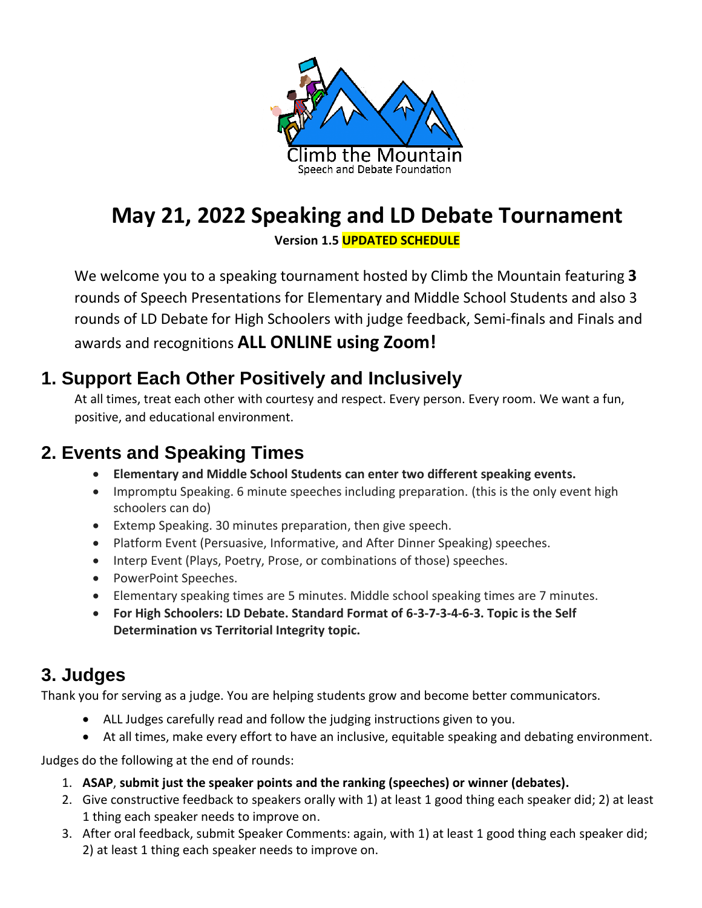

# **May 21, 2022 Speaking and LD Debate Tournament**

**Version 1.5 UPDATED SCHEDULE**

We welcome you to a speaking tournament hosted by Climb the Mountain featuring **3** rounds of Speech Presentations for Elementary and Middle School Students and also 3 rounds of LD Debate for High Schoolers with judge feedback, Semi-finals and Finals and awards and recognitions **ALL ONLINE using Zoom!**

### **1. Support Each Other Positively and Inclusively**

At all times, treat each other with courtesy and respect. Every person. Every room. We want a fun, positive, and educational environment.

## **2. Events and Speaking Times**

- **Elementary and Middle School Students can enter two different speaking events.**
- Impromptu Speaking. 6 minute speeches including preparation. (this is the only event high schoolers can do)
- Extemp Speaking. 30 minutes preparation, then give speech.
- Platform Event (Persuasive, Informative, and After Dinner Speaking) speeches.
- Interp Event (Plays, Poetry, Prose, or combinations of those) speeches.
- PowerPoint Speeches.
- Elementary speaking times are 5 minutes. Middle school speaking times are 7 minutes.
- **For High Schoolers: LD Debate. Standard Format of 6-3-7-3-4-6-3. Topic is the Self Determination vs Territorial Integrity topic.**

## **3. Judges**

Thank you for serving as a judge. You are helping students grow and become better communicators.

- ALL Judges carefully read and follow the judging instructions given to you.
- At all times, make every effort to have an inclusive, equitable speaking and debating environment.

Judges do the following at the end of rounds:

- 1. **ASAP**, **submit just the speaker points and the ranking (speeches) or winner (debates).**
- 2. Give constructive feedback to speakers orally with 1) at least 1 good thing each speaker did; 2) at least 1 thing each speaker needs to improve on.
- 3. After oral feedback, submit Speaker Comments: again, with 1) at least 1 good thing each speaker did; 2) at least 1 thing each speaker needs to improve on.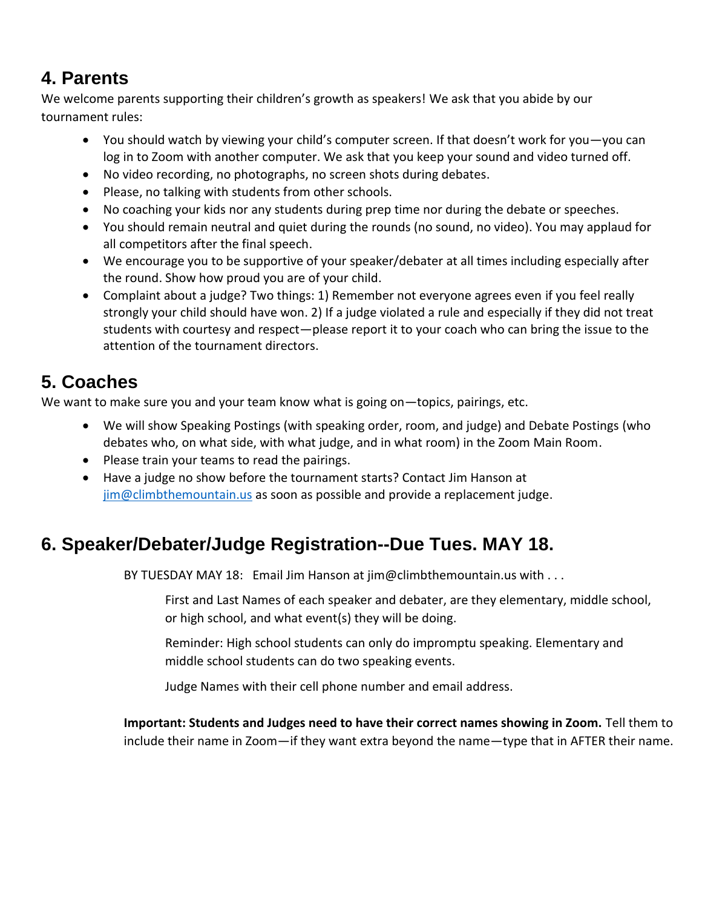## **4. Parents**

We welcome parents supporting their children's growth as speakers! We ask that you abide by our tournament rules:

- You should watch by viewing your child's computer screen. If that doesn't work for you—you can log in to Zoom with another computer. We ask that you keep your sound and video turned off.
- No video recording, no photographs, no screen shots during debates.
- Please, no talking with students from other schools.
- No coaching your kids nor any students during prep time nor during the debate or speeches.
- You should remain neutral and quiet during the rounds (no sound, no video). You may applaud for all competitors after the final speech.
- We encourage you to be supportive of your speaker/debater at all times including especially after the round. Show how proud you are of your child.
- Complaint about a judge? Two things: 1) Remember not everyone agrees even if you feel really strongly your child should have won. 2) If a judge violated a rule and especially if they did not treat students with courtesy and respect—please report it to your coach who can bring the issue to the attention of the tournament directors.

## **5. Coaches**

We want to make sure you and your team know what is going on—topics, pairings, etc.

- We will show Speaking Postings (with speaking order, room, and judge) and Debate Postings (who debates who, on what side, with what judge, and in what room) in the Zoom Main Room.
- Please train your teams to read the pairings.
- Have a judge no show before the tournament starts? Contact Jim Hanson at [jim@climbthemountain.us](mailto:jim@climbthemountain.us) as soon as possible and provide a replacement judge.

## **6. Speaker/Debater/Judge Registration--Due Tues. MAY 18.**

BY TUESDAY MAY 18: Email Jim Hanson at jim@climbthemountain.us with . . .

First and Last Names of each speaker and debater, are they elementary, middle school, or high school, and what event(s) they will be doing.

Reminder: High school students can only do impromptu speaking. Elementary and middle school students can do two speaking events.

Judge Names with their cell phone number and email address.

**Important: Students and Judges need to have their correct names showing in Zoom.** Tell them to include their name in Zoom—if they want extra beyond the name—type that in AFTER their name.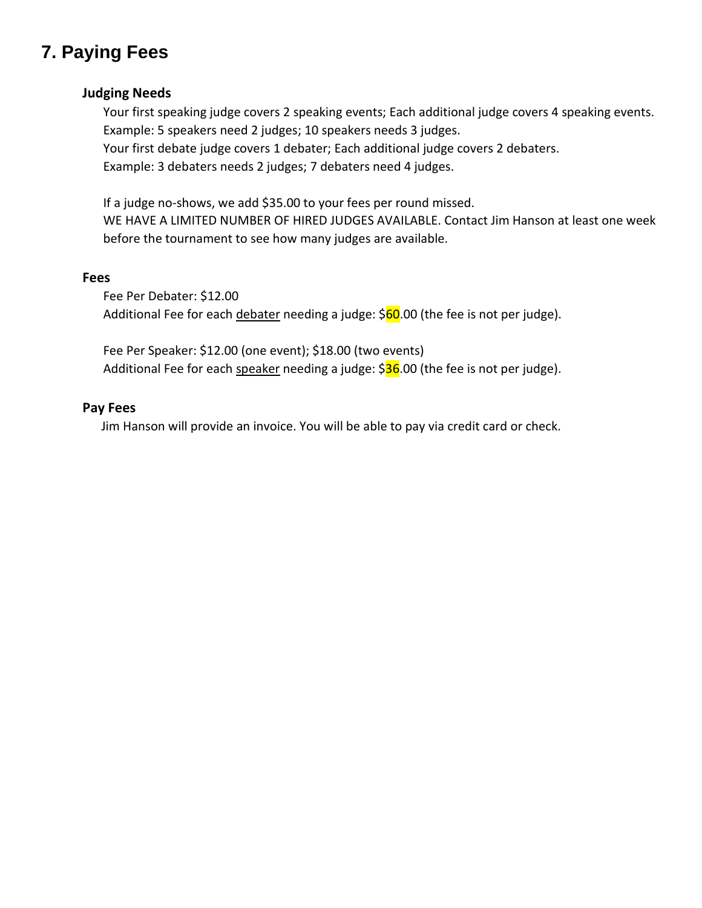## **7. Paying Fees**

#### **Judging Needs**

Your first speaking judge covers 2 speaking events; Each additional judge covers 4 speaking events. Example: 5 speakers need 2 judges; 10 speakers needs 3 judges.

Your first debate judge covers 1 debater; Each additional judge covers 2 debaters.

Example: 3 debaters needs 2 judges; 7 debaters need 4 judges.

If a judge no-shows, we add \$35.00 to your fees per round missed. WE HAVE A LIMITED NUMBER OF HIRED JUDGES AVAILABLE. Contact Jim Hanson at least one week before the tournament to see how many judges are available.

#### **Fees**

Fee Per Debater: \$12.00 Additional Fee for each debater needing a judge: \$60.00 (the fee is not per judge).

Fee Per Speaker: \$12.00 (one event); \$18.00 (two events) Additional Fee for each speaker needing a judge: \$36.00 (the fee is not per judge).

#### **Pay Fees**

Jim Hanson will provide an invoice. You will be able to pay via credit card or check.